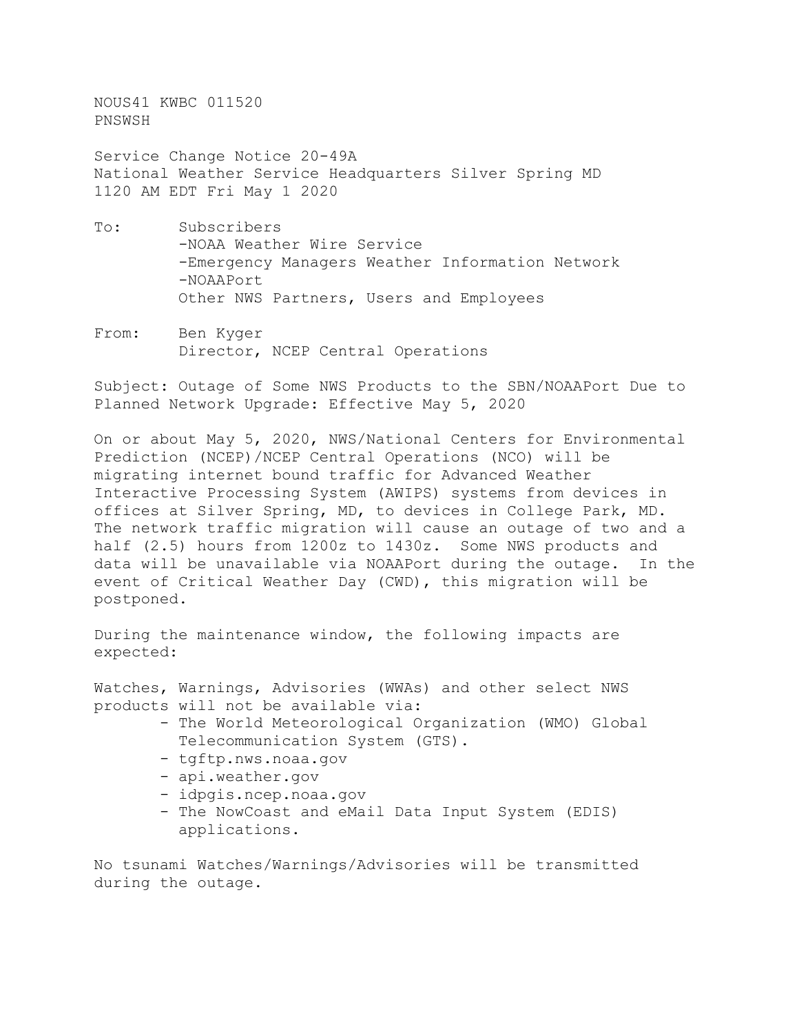NOUS41 KWBC 011520 PNSWSH

Service Change Notice 20-49A National Weather Service Headquarters Silver Spring MD 1120 AM EDT Fri May 1 2020

- To: Subscribers -NOAA Weather Wire Service -Emergency Managers Weather Information Network -NOAAPort Other NWS Partners, Users and Employees
- From: Ben Kyger Director, NCEP Central Operations

Subject: Outage of Some NWS Products to the SBN/NOAAPort Due to Planned Network Upgrade: Effective May 5, 2020

On or about May 5, 2020, NWS/National Centers for Environmental Prediction (NCEP)/NCEP Central Operations (NCO) will be migrating internet bound traffic for Advanced Weather Interactive Processing System (AWIPS) systems from devices in offices at Silver Spring, MD, to devices in College Park, MD. The network traffic migration will cause an outage of two and a half (2.5) hours from 1200z to 1430z. Some NWS products and data will be unavailable via NOAAPort during the outage. In the event of Critical Weather Day (CWD), this migration will be postponed.

During the maintenance window, the following impacts are expected:

Watches, Warnings, Advisories (WWAs) and other select NWS products will not be available via:

- The World Meteorological Organization (WMO) Global Telecommunication System (GTS).
- tgftp.nws.noaa.gov
- api.weather.gov
- idpgis.ncep.noaa.gov
- The NowCoast and eMail Data Input System (EDIS) applications.

No tsunami Watches/Warnings/Advisories will be transmitted during the outage.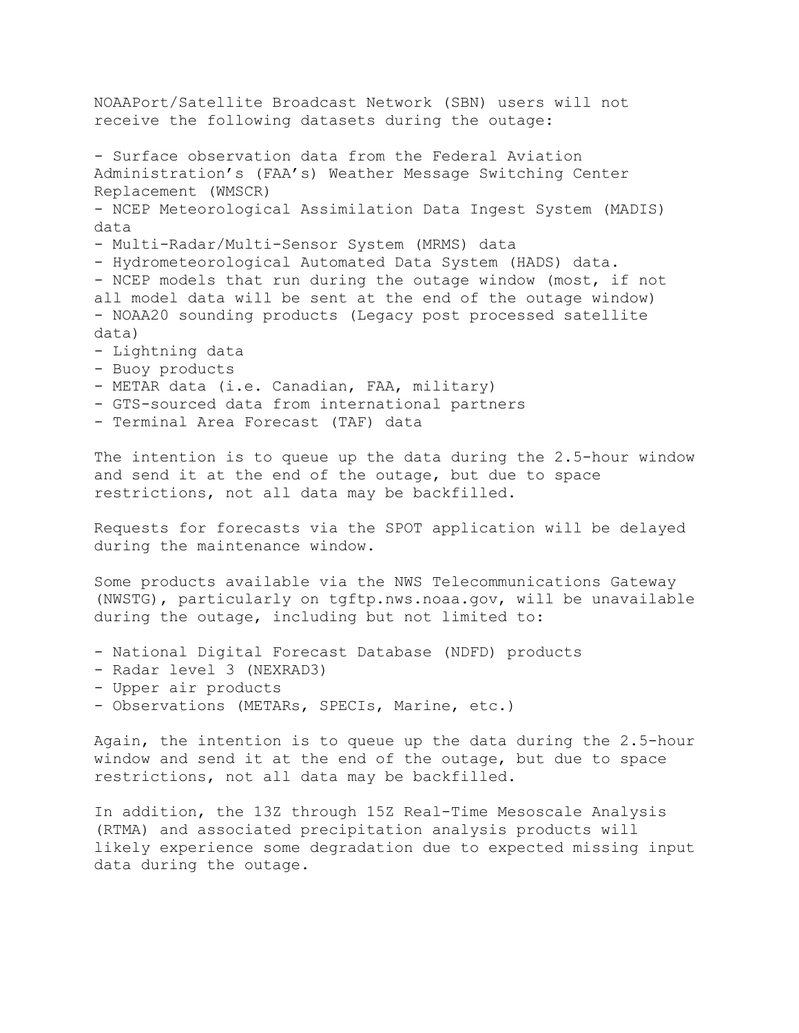NOAAPort/Satellite Broadcast Network (SBN) users will not receive the following datasets during the outage: - Surface observation data from the Federal Aviation Administration's (FAA's) Weather Message Switching Center Replacement (WMSCR) - NCEP Meteorological Assimilation Data Ingest System (MADIS) data - Multi-Radar/Multi-Sensor System (MRMS) data - Hydrometeorological Automated Data System (HADS) data. - NCEP models that run during the outage window (most, if not all model data will be sent at the end of the outage window) - NOAA20 sounding products (Legacy post processed satellite data) - Lightning data - Buoy products - METAR data (i.e. Canadian, FAA, military) - GTS-sourced data from international partners

- 
- Terminal Area Forecast (TAF) data

The intention is to queue up the data during the 2.5-hour window and send it at the end of the outage, but due to space restrictions, not all data may be backfilled.

Requests for forecasts via the SPOT application will be delayed during the maintenance window.

Some products available via the NWS Telecommunications Gateway (NWSTG), particularly on tgftp.nws.noaa.gov, will be unavailable during the outage, including but not limited to:

- National Digital Forecast Database (NDFD) products
- Radar level 3 (NEXRAD3)
- Upper air products
- Observations (METARs, SPECIs, Marine, etc.)

Again, the intention is to queue up the data during the 2.5-hour window and send it at the end of the outage, but due to space restrictions, not all data may be backfilled.

In addition, the 13Z through 15Z Real-Time Mesoscale Analysis (RTMA) and associated precipitation analysis products will likely experience some degradation due to expected missing input data during the outage.